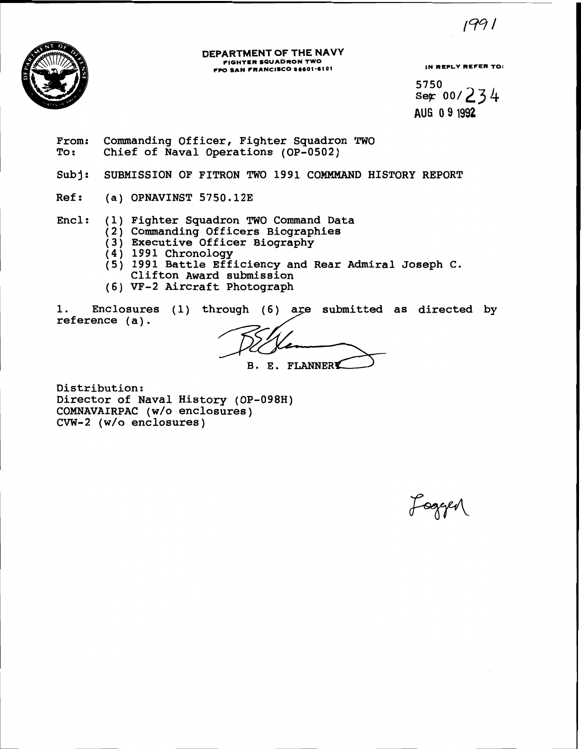

### **DEPARTMENT OF THE NAVY FIGHTER SQUADRON TWO FIGHTER SQUADRON 1WO<br>FPO SAN FRANCISCO 96601-6101 IN REPLY REFER TO:**

 $1991$ 

5750  $Ser 00/234$ **AUG 0 9 1992** 

From: Commanding Officer, Fighter Squadron TWO<br>To: Chief of Naval Operations (OP-0502) Chief of Naval Operations (OP-0502)

Subj: SUBMISSION OF FITRON TWO 1991 COMMMAND HISTORY REPORT

Ref: (a) OPNAVINST 5750.12E

Encl: (1) Fighter Squadron TWO Command Data

- (2) Commanding Officers Biographies
	- (3) Executive Officer Biography
- $(4)$  1991 Chronology
- **(5)** 1991 Battle Efficiency and Rear Admiral Joseph C. Clifton Award submission
- (6) VF-2 Aircraft Photograph

1. Enclosures (1) through (6) are submitted as directed by reference (a).

**B. E. FLANNERK** 

Distribution: Director of Naval History (OP-098H) COMNAVAIRPAC (w/o enclosures) CVW-2 (w/o enclosures)

Logger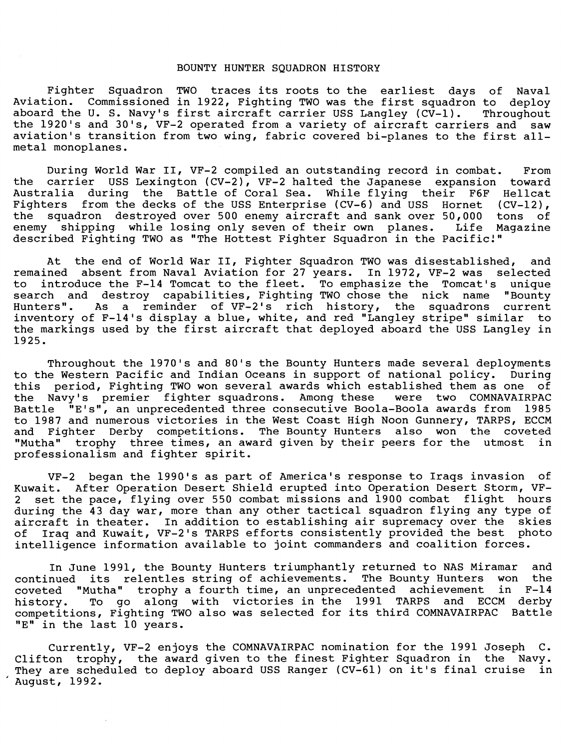#### BOUNTY HUNTER SQUADRON HISTORY

Fighter Squadron TWO traces its roots to the earliest days of Naval Aviation. Commissioned in 1922, Fighting TWO was the first squadron to deploy aboard the U. S. Navy's first aircraft carrier USS Langley (CV-1). Throughout the 1920's and 30's, VF-2 operated from a variety of aircraft carriers and saw aviation's transition from two wing, fabric covered bi-planes to the first allmetal monoplanes.

During World War 11, VF-2 compiled an outstanding record in combat. From the carrier USS Lexington (CV-2), VF-2 halted the Japanese expansion toward Australia during the Battle of Coral Sea. While flying their F6F Hellcat<br>Fighters from the decks of the USS Enterprise (CV-6) and USS Hornet (CV-12), Fighters from the decks of the USS Enterprise (CV-6) and USS Hornet the squadron destroyed over 500 enemy aircraft and sank over 50,000 tons of enemy shipping while losing only seven of their own planes. Life Magazine described Fighting TWO as "The Hottest Fighter Squadron in the Pacific!"

At the end of World War 11, Fighter Squadron TWO was disestablished, and remained absent from Naval Aviation for 27 years. In 1972, VF-2 was selected to introduce the F-14 Tomcat to the fleet. To emphasize the Tomcat's unique search and destroy capabilities, Fighting TWO chose the nick name "Bounty Hunters". As a reminder of VF-2's rich history, the squadrons current inventory of F-14's display a blue, white, and red "Langley stripe" similar to the markings used by the first aircraft that deployed aboard the USS Langley in 1925.

Throughout the 1970's and 80's the Bounty Hunters made several deployments to the Western Pacific and Indian Oceans in support of national policy. During this period, Fighting TWO won several awards which established them as one of the Navy's premier fighter squadrons. Among these were two COMNAVAIRPAC Battle "E's" , an unprecedented three consecutive Boola-Boola awards from 1985 to 1987 and numerous victories in the West Coast High Noon Gunnery, TARPS, ECCM and Fighter Derby competitions. The Bounty Hunters also won the coveted "Mutha" trophy three times, an award given by their peers for the utmost in professionalism and fighter spirit.

VF-2 began the 1990's as part of America's response to Iraqs invasion of Kuwait. After Operation Desert Shield erupted into Operation Desert Storm, VF-2 set the pace, flying over 550 combat missions and 1900 combat flight hours during the 43 day war, more than any other tactical squadron flying any type of aircraft in theater. In addition to establishing air supremacy over the skies<br>of Iraq and Kuwait, VF-2's TARPS efforts consistently provided the best photo Iraq and Kuwait, VF-2's TARPS efforts consistently provided the best photo intelligence information available to joint commanders and coalition forces.

In June 1991, the Bounty Hunters triumphantly returned to NAS Miramar and continued its relentles string of achievements. The Bounty Hunters won the coveted "Mutha" trophy a fourth time, an unprecedented achievement in F-14 history. To go along with victories in the 1991 TARPS and ECCM derby competitions, Fighting TWO also was selected for its third COMNAVAIRPAC Battle "E" in the last 10 years.

Currently, VF-2 enjoys the COMNAVAIRPAC nomination for the 1991 Joseph C. Clifton trophy, the award given to the finest Fighter Squadron in the Navy.<br>They are scheduled to deploy aboard USS Ranger (CV-61) on it's final cruise in They are scheduled to deploy aboard USS Ranger (CV-61) on it's final cruise August, 1992.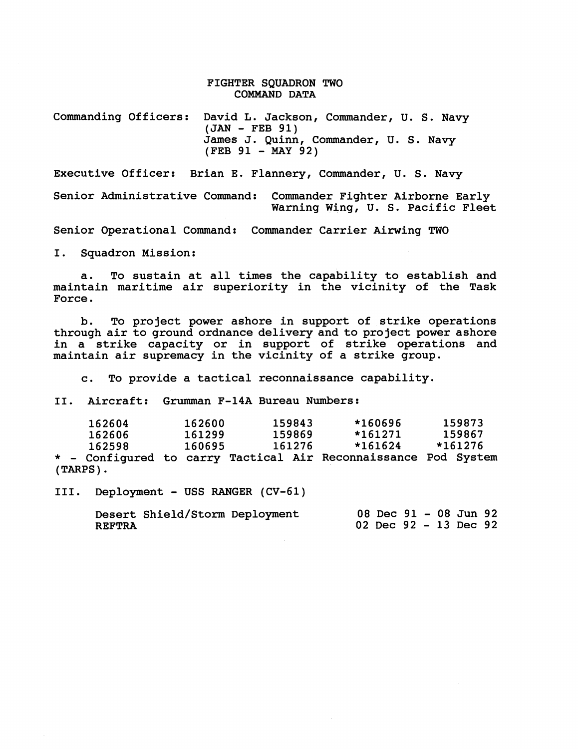#### FIGHTER SQUADRON TWO COMMAND DATA

Commanding Officers: David L. Jackson, Commander, U. S. Navy (JAN - FEB **91)**  James J. Quinn, Commander, U. S. Navy (FEB **91** - MAY **92)** 

Executive Officer: Brian E. Flannery, Commander, U. S. Navy

Senior Administrative Command: Commander Fighter Airborne Early Warning Wing, U. S. Pacific Fleet

Senior Operational Command: Commander Carrier Airwing TWO

I. Squadron Mission:

a. To sustain at all times the capability to establish and maintain maritime air superiority in the vicinity of the Task Force.

b. To project power ashore in support of strike operations through air to ground ordnance delivery and to project power ashore in a strike capacity or in support of strike operations and maintain air supremacy in the vicinity of a strike group.

c. To provide a tactical reconnaissance capability.

**11.** Aircraft: Grumman **F-14A** Bureau Numbers:

| 162604      | 162600 | 159843 | *160696                                                        | 159873  |  |
|-------------|--------|--------|----------------------------------------------------------------|---------|--|
| 162606      | 161299 | 159869 | $*161271$                                                      | 159867  |  |
| 162598      | 160695 | 161276 | *161624                                                        | *161276 |  |
|             |        |        | * - Configured to carry Tactical Air Reconnaissance Pod System |         |  |
| $(TARPS)$ . |        |        |                                                                |         |  |

111. Deployment - USS RANGER **(CV-61)** 

Desert Shield/Storm Deployment REFTRA **<sup>08</sup>**Dec **91** - **08** Jun **<sup>92</sup> 02** Dec **92** - **13** Dec **92**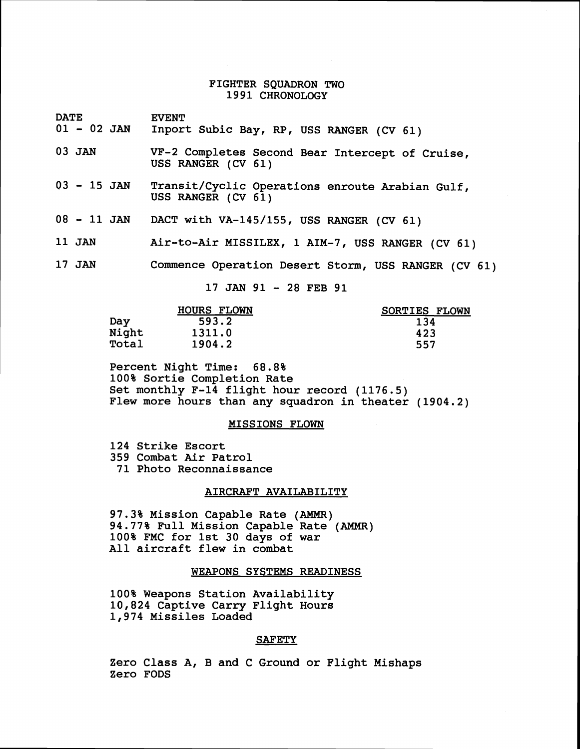#### **FIGHTER SQUADRON TWO 1991 CHRONOLOGY**

DATE EVENT<br>01 - 02 JAN Inport

- Inport Subic Bay, RP, USS RANGER (CV 61)
- **03 JAN VF-2 Completes Second Bear Intercept of Cruise, USS RANGER (CV 61)**
- **<sup>03</sup> 15** JAN **Transit/Cyclic Operations enroute Arabian Gulf, USS RANGER (CV 61)**
- **<sup>08</sup> 11** JAN **DACT with VA-145/155, USS RANGER (CV 61)**
- **11** JAN **Air-to-Air MISSILEX, 1 AIM-7, USS RANGER (CV 61)**
- **17** JAN **Commence Operation Desert Storm, USS RANGER (CV 61)**

**17 JAN 91** - **28 FEB 91** 

|       | <b>HOURS FLOWN</b> | SORTIES FLOWN |
|-------|--------------------|---------------|
| Day   | 593.2              | 134           |
| Night | 1311.0             | 423           |
| Total | 1904.2             | 557           |

**Percent Night Time: 68.8% 100% Sortie Completion Rate Set monthly F-14 flight hour record (1176.5) Flew more hours than any squadron in theater (1904.2)** 

#### **MISSIONS FLOWN**

**124 Strike Escort 359 Combat Air Patrol 71 Photo Reconnaissance** 

#### **AIRCRAFT AVAILABILITY**

**97.3% Mission Capable Rate (AMMR) 94.77% Full Mission Capable Rate** (AMMR) **100% FMC for 1st 30 days of war All aircraft flew in combat** 

#### **WEAPONS SYSTEMS READINESS**

**100% Weapons Station Availability 10,824 Captive Carry Flight Hours 1,974 Missiles Loaded** 

#### **SAFETY**

**Zero Class A, B and C Ground or Flight Mishaps Zero FODS**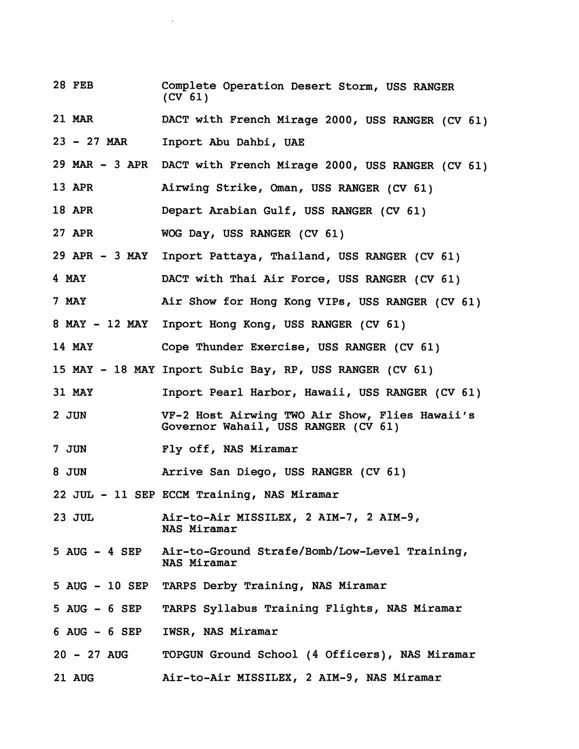28 FEB Complete Operation Desert Storm, USS RANGER (CV **61) 21 MAR** DACT with French Mirage 2000, USS RANGER (CV **61) <sup>23</sup>**- <sup>27</sup>**MAR** Inport Abu Dahbi, UAE 29 MAR - **3** APR DACT with French Mirage 2000, USS RANGER (CV **61) 13** APR Airwing Strike, Oman, USS RANGER (CV **61) 18** APR Depart Arabian Gulf, USS RANGER (CV **61)**  27 APR WOG Day, USS RANGER (CV **61)**  29 APR - **3** MAY Inport Pattaya, Thailand, USS RANGER (CV **61) 4 MAY** DACT with Thai Air Force, USS RANGER (CV **61)**  7 **MAY** Air Show for Hong Kong VIPs, USS RANGER (CV **61) 8 MAY** - **12 MAY** Inport Hong Kong, USS RANGER (CV **61) 14 MAY** Cope Thunder Exercise, USS RANGER (CV **61) 15 MAY** - **18 MAY** Inport Subic Bay, RP, USS RANGER (CV **61) 31 MAY** Inport Pearl Harbor, Hawaii, USS RANGER (CV **61)**  2 JUN VF-2 Host Airwing TWO Air Show, Flies Hawaii's Governor Wahail, USS RANGER (CV **61)**  7 JUN Fly off, NAS Miramar 8 JUN Arrive San Diego, USS RANGER (CV **61)**  22 JUL - **11** SEP ECCM Training, MAS Miramar 2 **3** JUL Air-to-Air MISSILEX, 2 AIM-7, 2 AIM-9, NAS Miramar 5 AUG - **4** SEP Air-to-Ground Strafe/Bomb/Low-Level Training, NAS Miramar 5 AUG - 10 SEP TARPS Derby Training, NAS Miramar 5 AUG - **6** SEP TARPS Syllabus Training Flights, NAS Miramar **<sup>6</sup>**AUG - **6** SEP IWSR, NAS Miramar **<sup>20</sup>**- 27 AUG TOPGUN Ground School (4 Officers), NAS Miramar 21 AUG Air-to-Air MISSILEX, 2 AIM-9, NAS Miramar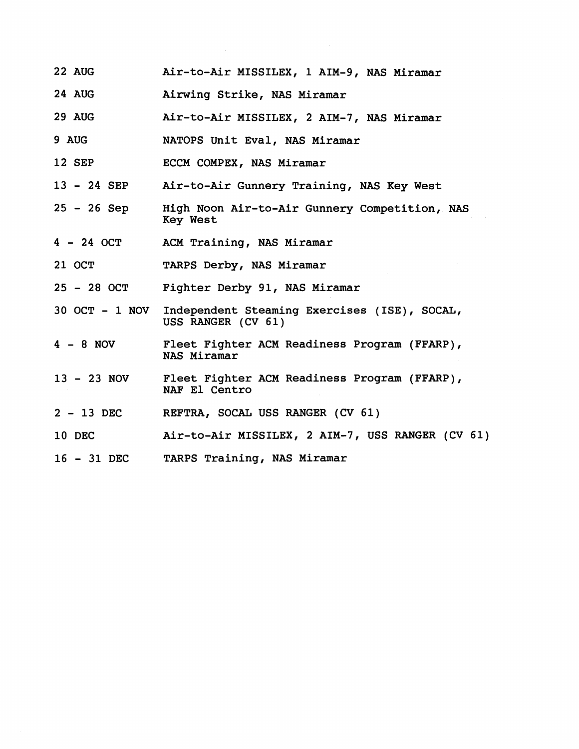- 22 AUG Air-to-Air MISSILEX, 1 AIM-9, NAS Miramar
- 24 AUG Airwing Strike, NAS Miramar
- 29 AUG Air-to-Air MISSILEX, 2 AIM-7, NAS Miramar
- 9 AUG NATOPS Unit Eval, NAS Miramar
- 12 SEP ECCM COMPEX, NAS Miramar
- <sup>13</sup> 24 SEP Air-to-Air Gunnery Training, **NAS** Key West
- <sup>25</sup> 26 Sep High Noon Air-to-Air Gunnery Competition,. NAS Key West
- <sup>4</sup> 24 OCT ACM Training, NAS Miramar
- 21 OCT TARPS Derby, NAS Miramar
- <sup>25</sup> 28 OCT Fighter Derby 91, NAS Miramar
- 30 OCT 1 NOV Independent Steaming Exercises (ISE), SOCAL, USS RANGER (CV 61)
- <sup>4</sup> 8 NOV Fleet Fighter ACM Readiness Program (FFARP), NAS Miramar
- <sup>13</sup> 23 NOV Fleet Fighter ACM Readiness Program (FFARP), NAF El Centro
- <sup>2</sup> 13 DEC REFTRA, SOCAL USS RANGER (CV 61)
- 10 DEC Air-to-Air MISSILEX, 2 AIM-7, USS RANGER (CV 61)
- <sup>16</sup> 31 DEC TARPS Training, NAS Miramar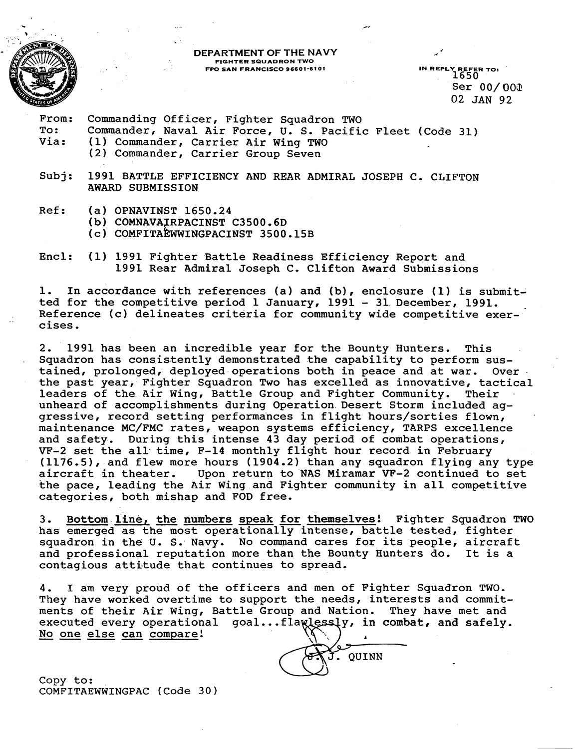

### **DEPARTMENT OF THE NAVY FIGHTER SQUADRON TWO FPO SAN FRANCISCO 96601-6101**

IN REPLY REFER TO:<br>1650 Ser 00/ **008**  02 **JAN** 92

From: Commanding Officer, Fighter Squadron TWO<br>To: Commander, Naval Air Force, U. S. Pacific To: Commander, Naval Air Force, U. S. Pacific Fleet (Code 31)<br>Via: (1) Commander, Carrier Air Wing TWO (1) Commander, Carrier Air Wing TWO (2) Commander, Carrier Group Seven

Subj: 1991 BATTLE EFFICIENCY AND REAR ADMIRAL JOSEPH C. CLIFTON AWARD SUBMISSION

- Ref: (a) OPNAVINST 1650.24
	- **(b)** COMNAVAJRPACINST C3500.6D
	- (c) COMFITA EWWINGPACINST 3500.15B
- Encl: (1) 1991 Fighter Battle Readiness Efficiency Report and 1991 Rear Admiral Joseph C. Clifton Award Submissions

1. In accordance with references (a) and **(b),** enclosure **(1)** is submitted for the competitive period 1 January, 1991 - 31.December, 1991. Reference (c) delineates criteria for community wide competitive exercises.

2. 1991 has been an incredible year for the Bounty Hunters. This Squadron has consistently demonstrated the capability to perform sustained, prolonged, deployed operations both in peace and at war. Over the past year, Fighter Squadron Two has excelled as innovative, tactical<br>leaders of the Air Wing, Battle Group and Fighter Community. Their leaders of the Air Wing, Battle Group and Fighter Community. unheard of accomplishments during Operation Desert Storm included aggressive, record setting performances in flight hours/sorties flown, maintenance MC/FMC rates, weapon systems efficiency, TARPS excellence and safety. During this intense 43 day period of combat operations, VF-2 set the all time, F-14 monthly flight hour record in February (1176.5), and flew more hours (1904.2) than any squadron flying any type aircraft in theater. Upon return to NAS Miramar VF-2 continued to set Upon return to NAS Miramar VF-2 continued to set the pace, leading the Air Wing and Fighter community in all competitive categories, both mishap and FOD free.

3. Bottom line, **the** numbers speak for themselves! Fighter Squadron TWO has emerged as the most operationally intense, battle tested, fighter squadron in the U. S. Navy. No command cares for its people, aircraft and professional reputation more than the Bounty Hunters do. It is a contagious attitude that continues to spread.

4. I am very proud of the officers and men of Fighter Squadron TWO. They have worked overtime to support the needs, interests and commitments of their Air Wing, Battle Group and Nation. They have met and<br>executed every operational goal...flawlessly, in combat, and safely. They have worked overtime<br>ments of their Air Wing,<br>executed every operationa<br><u>No one else can compare</u>!

QUINN

Copy to: COMFITAEWWINGPAC (Code **30)**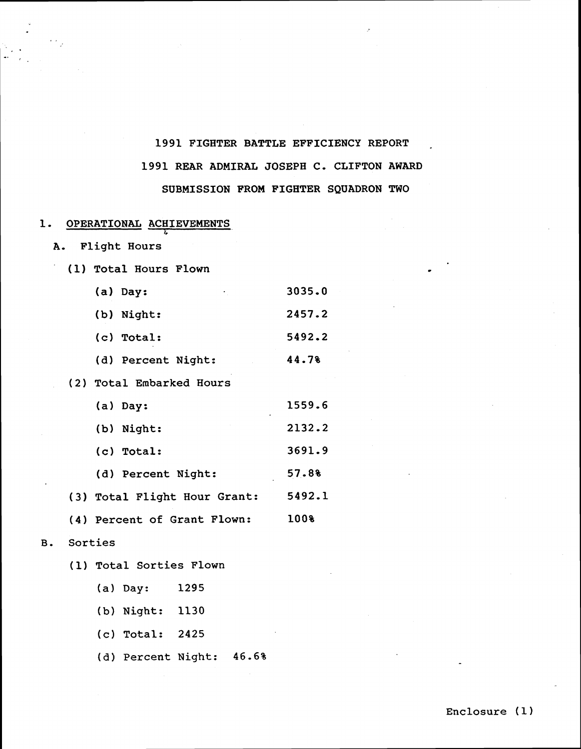# **1991 FIGHTER BATTLE EFFICIENCY REPORT** - **1991 REAR ADMIRAL JOSEPH C, CLIFTON AWARD SUBMISSION FROM FIGHTER SQUADRON TWO**

### **1. OPERATIONAL ACHIEVEMENTS**

?.

- **A. Flight Hours**
- **(1) Total Hours Flown**

| (a) Day:<br>٠      | 3035.0 |
|--------------------|--------|
| (b) Night:         | 2457.2 |
| (c) Total:         | 5492.2 |
| (d) Percent Night: | 44.78  |

**(2) Total Embarked Hours** 

| (a) Day:                     | 1559.6 |
|------------------------------|--------|
| (b) Night:                   | 2132.2 |
| (c) Total:                   | 3691.9 |
| (d) Percent Night:           | 57.8%  |
| (3) Total Flight Hour Grant: | 5492.1 |
| (4) Percent of Grant Flown:  | 100%   |

- **B. Sorties** 
	- **(I) Total Sorties Flown** 
		- **(a) Day: 1295**
		- **(b) Night: 1130**
		- **(c) Total: 2425**
		- **(d) Percent Night: 46.6%**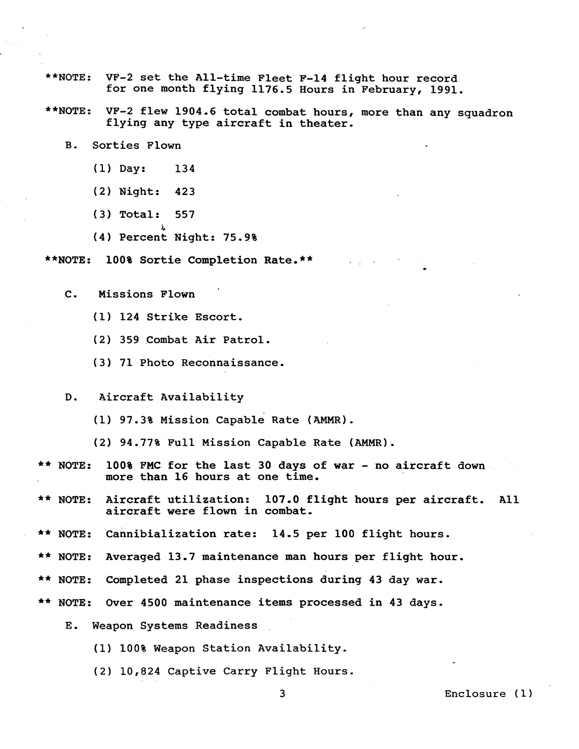- **\*\*NOTE: VF-2 set the All-time Fleet F-14 flight hour record for one month flying 1176.5 Hours in February, 1991.**
- **\*\*NOTE: VF-2 flew 1904.6 total combat hours, more than any squadron flying any type aircraft in theater.** 
	- **B. Sorties Flown** 
		- **(1) Day: 134**
		- **(2) Night: 423**
		- **(3) Total: 557**
		- **L (4) Percent Night: 75.9%**
- **\*\*NOTE: 100% Sortie Completion Rate,\*'\*** 
	- **C. Missions Flown** 
		- **(1) 124 Strike Escort.**
		- **(2) 359 Combat Air Patrol,**
		- **(3) 71 Photo Reconnaissance.**
	- **D. Aircraft Availability** 
		- **(1) 97.3% Mission capable Rate (AMMR).**
		- **(2) 94.77% Full Mission Capable Rate (AMMR).**
- \*\* **NOTE: 100% FMC for the last 30 days of war no aircraft down more than 16 hours at one time,**
- NOTE: Aircraft utilization: 107.0 flight hours per aircraft. All **aircraft were flown in combat.**
- \*\* **NOTE:** Cannibialization rate: 14.5 per 100 flight hours.
- NOTE: Averaged 13.7 maintenance man hours per flight hour.
- \*\* **NOTE: Completed 21 phase inspections during 43 day war.**
- \*\* **NOTE: Over 4500 maintenance items processed in 43 days.** 
	- **E. Weapon Systems Readiness** 
		- **(1) 100% Weapon Station Availability.**
		- **(21 10,824 Captive Carry Flight Hours.**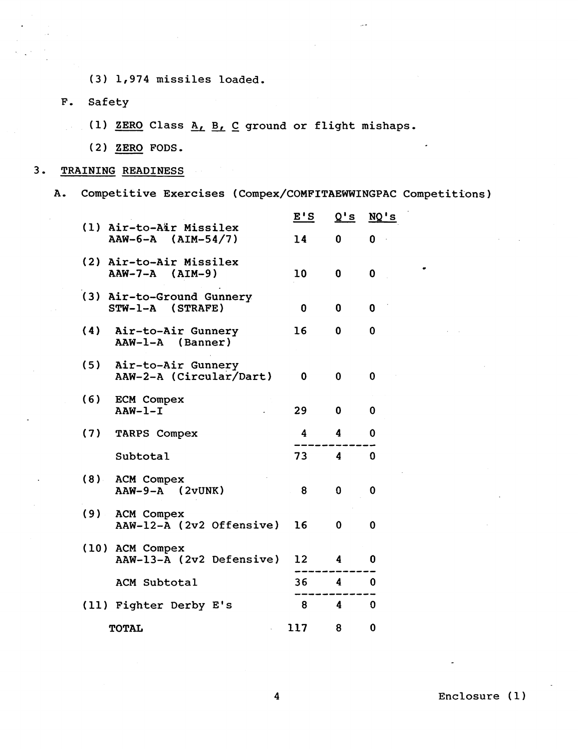- **(3) 1,974 missiles loaded.**  (3) 1,974 missi<br>Safety<br>(1) <u>ZERO</u> Class<br>(2) <u>ZERO</u> FODS.<br>NING READINESS
- **F, Safety** 
	- **(1) ZERO Class** A, B, **C ground or flight mishaps.**
	-
- **3. TRAINING READINESS** 
	- A. Competitive Exercises (Compex/COMFITAEWWINGPAC Competitions)

|     |                                                   | E'S | Q's                     | $NQ'$ s     |
|-----|---------------------------------------------------|-----|-------------------------|-------------|
|     | (1) Air-to-Air Missilex<br>$AAW-6-A$ $(AIM-54/7)$ | 14  | 0                       | 0           |
|     | (2) Air-to-Air Missilex<br>$AAW-7-A$ $(AIM-9)$    | 10  | 0                       | 0           |
| (3) | Air-to-Ground Gunnery<br>STW-1-A (STRAFE)         | 0   | 0                       | 0           |
| (4) | Air-to-Air Gunnery<br>AAW-1-A (Banner)            | 16  | 0                       | 0           |
| (5) | Air-to-Air Gunnery<br>AAW-2-A (Circular/Dart)     | 0   | $\mathbf 0$             | 0           |
| (6) | <b>ECM Compex</b><br>$AAW-1-I$                    | 29  | 0                       | 0           |
| (7) | <b>TARPS Compex</b>                               | 4   | 4                       | 0           |
|     | Subtotal                                          | 73  | $\overline{\mathbf{4}}$ | $\bf{0}$    |
| (8) | <b>ACM Compex</b><br>$AAW-9-A$ (2vUNK)            | 8   | $\Omega$                | 0           |
| (9) | <b>ACM Compex</b><br>AAW-12-A (2v2 Offensive)     | 16  | 0                       | 0           |
|     | (10) ACM Compex<br>AAW-13-A (2v2 Defensive)       | 12  | 4                       | 0           |
|     | ACM Subtotal                                      | 36  | $\overline{\mathbf{4}}$ | $\mathbf 0$ |
|     | (11) Fighter Derby E's                            | 8   | $\boldsymbol{4}$        | $\mathbf 0$ |
|     | <b>TOTAL</b>                                      | 117 | 8                       | 0           |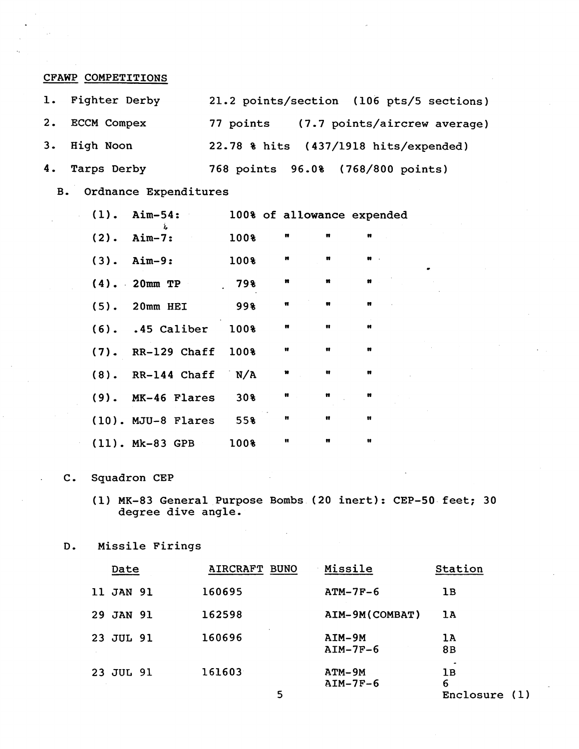**CFAWP COMPETITIONS** 

| 1. Fighter Derby | 21.2 points/section (106 pts/5 sections) |
|------------------|------------------------------------------|
| 2. ECCM Compex   | 77 points (7.7 points/aircrew average)   |
| 3. High Noon     | 22.78 % hits (437/1918 hits/expended)    |
| 4. Tarps Derby   | 768 points 96.0% (768/800 points)        |

**3. Ordnance Expenditures** 

| $(1)$ . Aim-54:            |      |                                           |                         | 100% of allowance expended |
|----------------------------|------|-------------------------------------------|-------------------------|----------------------------|
| λ.<br>$(2).$ Aim-7:        | 100% | n                                         | $\pmb{n}$               | $\mathbf{r}$               |
| $(3)$ . Aim-9:             | 1008 | $\,$ m                                    | $\mathbf{H}$            | $\mathbf{H}$               |
| $(4)$ . 20mm TP            | 79%  | $\mathbf{r}$<br>$\mathbf{m}$              |                         | $\mathbf{m}$               |
| $(5)$ . 20mm HEI           | 998  | $\mathbf{r} = \mathbf{r}$<br>$\mathbf{u}$ |                         | $\mathbf{H}$               |
| (6). .45 Caliber 100%      |      | $\mathbf{m}$                              | $\mathbf{u}$            | $\mathbf{H}$               |
| (7). RR-129 Chaff 100%     |      | $\pmb{\mathfrak{v}}$                      | $\overline{\mathbf{u}}$ | $\mathbf{H}$               |
| $(8)$ . RR-144 Chaff $N/A$ |      | $\pmb{v}$                                 | $\mathbf{H}$            | $\mathbf{r}$               |
| (9). MK-46 Flares 30%      |      | $\pmb{v}$                                 | $\mathbf{H}$            | $\pmb{\mathfrak{m}}$       |
| $(10)$ . MJU-8 Flares 55%  |      | $\pmb{\mathfrak{m}}$                      | $\mathbf{H}$            | $\mathbf{u}$               |
| $(11)$ . Mk-83 GPB 100%    |      | $\mathbf{u}$                              | $\pmb{\mathfrak{m}}$    | $\blacksquare$             |

### **C. Squadron CEP**

- **(I) MK-83 General Purpose Bombs (20 inert): CEP-50 feet; 30 degree dive angle.**
- **D. Missile Firings**

| Date      | AIRCRAFT BUNO | Missile                | Station                     |
|-----------|---------------|------------------------|-----------------------------|
| 11 JAN 91 | 160695        | $ATM-7F-6$             | lВ                          |
| 29 JAN 91 | 162598        | AIM-9M (COMBAT)        | 1A                          |
| 23 JUL 91 | 160696        | $AIM-9M$<br>$AIM-7F-6$ | 1A<br>8B                    |
| 23 JUL 91 | 161603<br>5   | $ATM-9M$<br>$AIM-7F-6$ | 1B<br>6<br>Enclosure<br>(1) |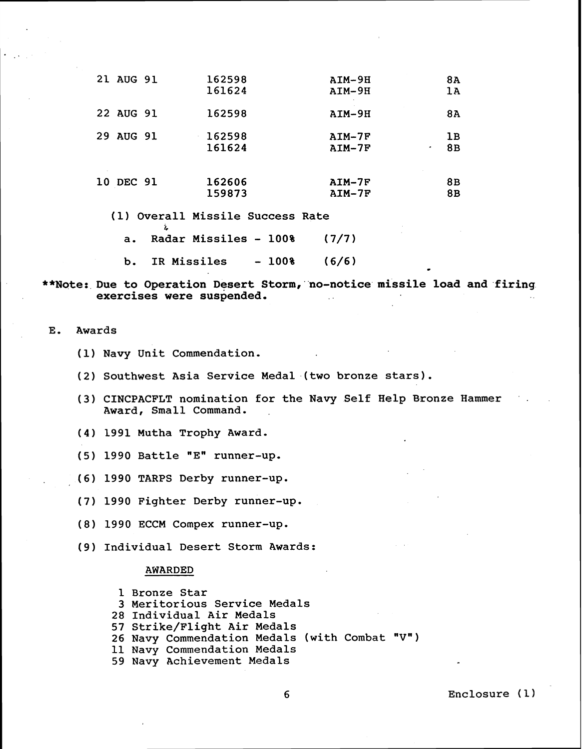| 21 AUG 91 | 162598<br>161624             | AIM-9H<br>$AIM-9H$   | 8A<br>1A      |
|-----------|------------------------------|----------------------|---------------|
| 22 AUG 91 | 162598                       | $AIM-9H$             | 8A            |
| 29 AUG 91 | 162598<br>×.<br>161624       | $AIM-7F$<br>$AIM-7F$ | 1B<br>8B<br>۰ |
| 10 DEC 91 | 162606<br>159873             | $AIM-7F$<br>$AIM-7F$ | 8B<br>8B      |
| 71 1      | Overall Missile Success Rate |                      |               |

**(1) Overall Missile Success Rate**  ?\*

**a. Radar Missiles** - **100%** ( **7/7 )** 

**b. IR Missiles** - **100%** ( **6/6** .

\*\*Note: Due to Operation Desert Storm, no-notice missile load and firing **exercises were suspended.** 

**E. Awards** 

- **(1) Navy Unit Commendation.**
- **(2) Southwest Asia Service Medal.(two bronze stars).**
- (3) CINCPACFLT nomination for the Navy Self Help Bronze Hammer **Award, Small Command.**
- **(4) 1991 Mutha Trophy Award.**
- **(5) 1990 Battle "En runner-up.**
- **(6) 1990 TARPS Derby runner-up.**
- **(7) 1990 Fighter Derby runner-up.**
- **(8) 1990 ECCM Compex runner-up.**
- **(9) Individual Desert Storm Awards:**

#### **AWARDED**

**1 Bronze Star** 

- **3 Meritorious Service Medals**
- **28 Individual Air Medals**
- **57 Strike/Flight Air Medals**
- **26 Navy Commendation Medals (with Combat "V")**
- **11 Navy Commendation Medals**
- **59 Navy Achievement Medals**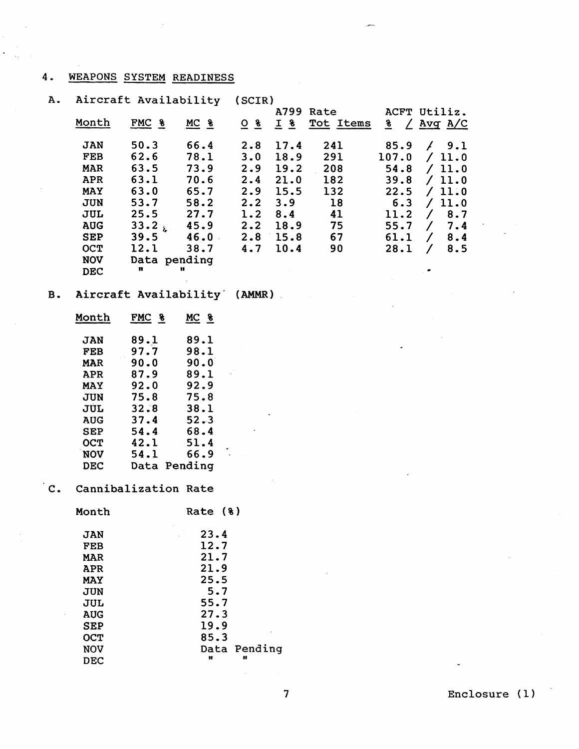# **4. WEAPONS SYSTEM READINESS**

| 4.        |            | WEAPONS SYSTEM READINESS     |                    |                     |            |           |       |                         |  |
|-----------|------------|------------------------------|--------------------|---------------------|------------|-----------|-------|-------------------------|--|
| A.        |            | Aircraft Availability        |                    | (SCIR)              |            | A799 Rate |       | ACFT Utiliz.            |  |
|           | Month      | FMC <sub>8</sub>             | $MC$ $\frac{8}{2}$ | $Q$ $\underline{8}$ | $I_{8}$    | Tot Items |       | $\frac{8}{2}$ / Avg A/C |  |
|           |            |                              |                    |                     |            |           |       |                         |  |
|           | <b>JAN</b> | 50.3                         | 66.4               | 2.8                 | 17.4       | 241       | 85.9  | /9.1                    |  |
|           | <b>FEB</b> | 62.6                         | 78.1               | 3.0                 | 18.9       | 291       | 107.0 | /11.0                   |  |
|           | <b>MAR</b> | 63.5                         | 73.9               | 2.9                 | 19.2       | 208       | 54.8  | /11.0                   |  |
|           | <b>APR</b> | 63.1                         | 70.6               | 2.4                 | 21.0       | 182       | 39.8  | /11.0                   |  |
|           | <b>MAY</b> | 63.0                         | 65.7               | 2.9                 | 15.5       | 132       | 22.5  | /11.0                   |  |
|           | <b>JUN</b> | 53.7                         | 58.2               | 2.2                 | 3.9        | 18        | 6.3   | /11.0                   |  |
|           | <b>JUL</b> | 25.5                         | 27.7               | 1.2                 | 8.4        | 41        | 11.2  | / 8.7                   |  |
|           | <b>AUG</b> | 33.2 <sub>k</sub>            | 45.9               |                     | $2.2$ 18.9 | 75        | 55.7  | 7.4<br>$\sqrt{2}$       |  |
|           | <b>SEP</b> | 39.5                         | 46.0               |                     | $2.8$ 15.8 | 67        | 61.1  | 8.4<br>$\sqrt{2}$       |  |
|           | OCT        | 12.1                         | 38.7               | 4.7                 | 10.4       | 90        | 28.1  | 8.5<br>$\sqrt{2}$       |  |
|           | <b>NOV</b> | Data pending                 |                    |                     |            |           |       |                         |  |
|           | <b>DEC</b> | n                            | Ħ                  |                     |            |           |       |                         |  |
|           |            |                              |                    |                     |            |           |       |                         |  |
| <b>B.</b> |            | Aircraft Availability (AMMR) |                    |                     |            |           |       |                         |  |
|           | Month      | FMC <sub>8</sub>             | MC <sub>8</sub>    |                     |            |           |       |                         |  |
|           | <b>JAN</b> | 89.1                         | 89.1               |                     |            |           |       |                         |  |
|           | FEB        | 97.7                         | 98.1               |                     |            |           |       |                         |  |
|           | <b>MAR</b> | 90.0                         | 90.0               |                     |            |           |       |                         |  |
|           | <b>APR</b> | 87.9                         | 89.1               |                     |            |           |       |                         |  |
|           | <b>MAY</b> | 92.0                         | 92.9               |                     |            |           |       |                         |  |
|           | <b>JUN</b> | 75.8                         | 75.8               |                     |            |           |       |                         |  |
|           | <b>JUL</b> | 32.8                         | 38.1               |                     |            |           |       |                         |  |
|           | <b>AUG</b> | 37.4                         | 52.3               |                     |            |           |       |                         |  |
|           | <b>SEP</b> | 54.4                         | 68.4               |                     |            |           |       |                         |  |
|           | OCT        | 42.1                         | 51.4               |                     |            |           |       |                         |  |
|           | <b>NOV</b> | 54.1                         | 66.9               |                     |            |           |       |                         |  |
|           | <b>DEC</b> | Data Pending                 |                    |                     |            |           |       |                         |  |
|           |            |                              |                    |                     |            |           |       |                         |  |
|           |            | Cannibalization Rate         |                    |                     |            |           |       |                         |  |
|           | Month      |                              | Rate (%)           |                     |            |           |       |                         |  |
|           | <b>JAN</b> |                              | 23.4               |                     |            |           |       |                         |  |
|           | <b>FEB</b> |                              | 12.7               |                     |            |           |       |                         |  |
|           | <b>MAR</b> |                              | 21.7               |                     |            |           |       |                         |  |
|           | <b>APR</b> |                              | 21.9               |                     |            |           |       |                         |  |
|           | <b>MAY</b> |                              | 25.5               |                     |            |           |       |                         |  |
|           | <b>JUN</b> |                              | 5.7                |                     |            |           |       |                         |  |
|           | <b>JUL</b> |                              | 55.7               |                     |            |           |       |                         |  |
|           | <b>AUG</b> |                              | 27.3               |                     |            |           |       |                         |  |
|           | <b>SEP</b> |                              | 19.9               |                     |            |           |       |                         |  |
|           | <b>OCT</b> |                              | 85.3               |                     |            |           |       |                         |  |
|           | <b>NOV</b> |                              |                    | Data Pending        |            |           |       |                         |  |
|           | <b>DEC</b> |                              | n                  | Ħ                   |            |           |       |                         |  |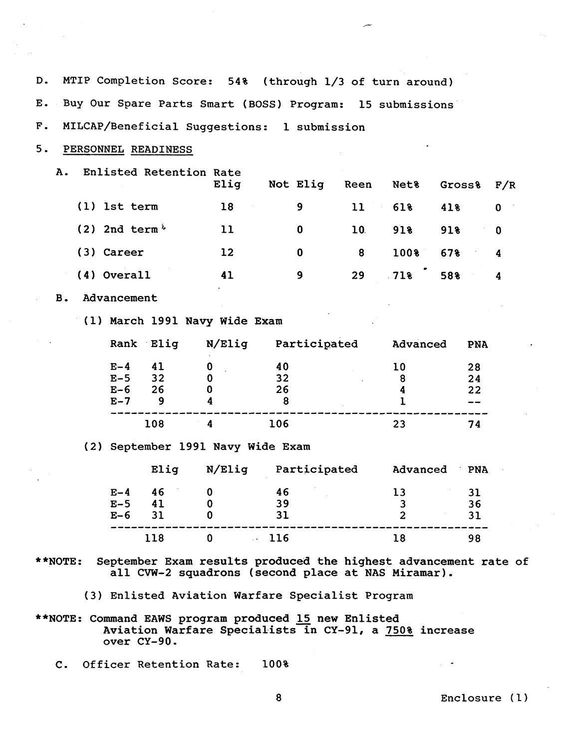| D.          | MTIP Completion Score: 54% (through 1/3 of turn around)  |                             |                         |                                   |                                                                                                                       |                 |                   |                    |             |
|-------------|----------------------------------------------------------|-----------------------------|-------------------------|-----------------------------------|-----------------------------------------------------------------------------------------------------------------------|-----------------|-------------------|--------------------|-------------|
| Ε.          | Buy Our Spare Parts Smart (BOSS) Program: 15 submissions |                             |                         |                                   |                                                                                                                       |                 |                   |                    |             |
| ${\bf F}$ . |                                                          |                             |                         |                                   | MILCAP/Beneficial Suggestions: 1 submission                                                                           |                 |                   |                    |             |
| 5.          |                                                          |                             | PERSONNEL READINESS     |                                   |                                                                                                                       |                 |                   |                    |             |
| A.          |                                                          |                             | Enlisted Retention Rate |                                   |                                                                                                                       |                 |                   |                    |             |
|             |                                                          |                             |                         | Elig                              | Not Elig                                                                                                              | Reen            | Net <sub>8</sub>  | Gross <sub>8</sub> | F/R         |
|             |                                                          | (1) 1st term                |                         | 18                                | 9                                                                                                                     | 11              | 618               | 41%                | $\mathbf 0$ |
|             |                                                          | $(2)$ 2nd term <sup>1</sup> |                         | 11                                | 0                                                                                                                     | 10 <sub>1</sub> | 918               | 91%                | 0           |
|             |                                                          | (3) Career                  |                         | $12 \overline{ }$                 | $\mathbf 0$                                                                                                           | 8               | 100%              | 67%                | 4           |
|             |                                                          | (4) Overall                 |                         | 41                                | 9                                                                                                                     | 29              | 718               | 58%                | 4           |
| в.          |                                                          | Advancement                 |                         |                                   |                                                                                                                       |                 |                   |                    |             |
|             |                                                          |                             |                         | (1) March 1991 Navy Wide Exam     |                                                                                                                       |                 |                   |                    |             |
|             |                                                          |                             | Rank Elig               | N/Elig                            | Participated                                                                                                          |                 | Advanced          | <b>PNA</b>         |             |
|             |                                                          | $E-4$                       | 41                      | 0                                 | 40                                                                                                                    |                 | 10 <sub>1</sub>   | 28                 |             |
|             |                                                          | $E-5$                       | 32 <sub>2</sub>         | 0                                 | 32                                                                                                                    |                 | 8                 | 24                 |             |
|             |                                                          | $E-6$<br>$E-7$              | 26<br>9                 | 0<br>4                            | 26<br>8                                                                                                               |                 | 4<br><sup>1</sup> | 22                 |             |
|             |                                                          |                             | 108                     | $\boldsymbol{4}$                  | 106                                                                                                                   |                 | 23                | 74                 |             |
|             |                                                          |                             |                         | (2) September 1991 Navy Wide Exam |                                                                                                                       |                 |                   |                    |             |
|             |                                                          |                             | Elig                    | $N/$ Elig                         | Participated                                                                                                          |                 | Advanced          | PNA                |             |
|             |                                                          | $E-4$                       | 46                      | $\boldsymbol{0}$                  | 46                                                                                                                    |                 | 13                | 31                 |             |
|             |                                                          | $E-5$                       | 41                      | $\mathbf{0}$                      | 39                                                                                                                    |                 | 3                 | 36                 |             |
|             |                                                          | $E-6$                       | 31                      | 0                                 | 31                                                                                                                    |                 | $\overline{2}$    | 31                 |             |
|             |                                                          |                             | 118                     | $\mathbf{0}$                      | $\sim$ 116                                                                                                            |                 | 18                | 98                 |             |
| $**$ NOTE:  |                                                          |                             |                         |                                   | September Exam results produced the highest advancement rate of<br>all CVW-2 squadrons (second place at NAS Miramar). |                 |                   |                    |             |
|             | (3) Enlisted Aviation Warfare Specialist Program         |                             |                         |                                   |                                                                                                                       |                 |                   |                    |             |
|             | **NOTE: Command EAWS program produced 15 new Enlisted    |                             |                         |                                   |                                                                                                                       |                 |                   |                    |             |

- **Aviation Warfare Specia1,ists in CY-91, a 750% increase over CY-90-**
- **C. Officer Retention Rate: 100%**

 $\sim$ 

**8 Enclosure (1)** 

 $\tilde{\phantom{a}}$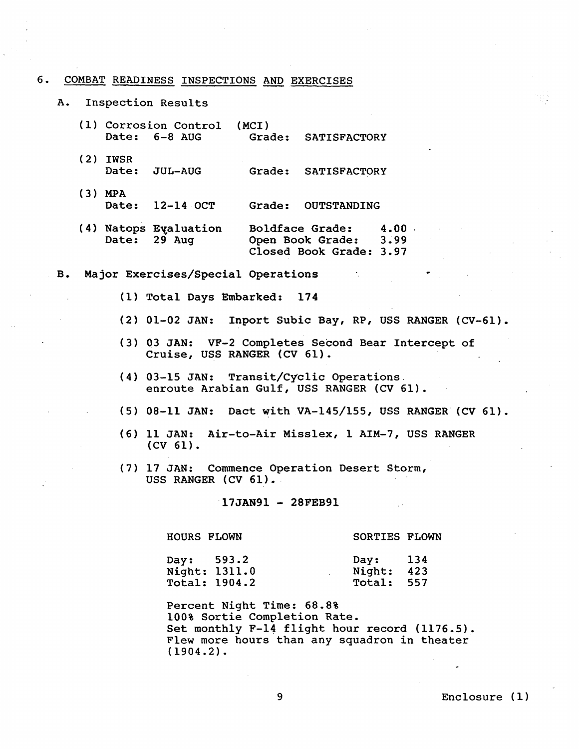#### **6. COMBAT READINESS INSPECTIONS** AND **EXERCISES**

**A. Inspection Results** 

|     |            | (1) Corrosion Control (MCI)<br>Date: 6-8 AUG | Grade: SATISFACTORY |
|-----|------------|----------------------------------------------|---------------------|
|     | $(2)$ IWSR | Date: JUL-AUG                                | Grade: SATISFACTORY |
| (3) | <b>MPA</b> |                                              |                     |

**Date: 12-14 OCT Grade: OUTSTANDING** 

- (4) Natops Evaluation Boldface Grade:  $4.00$ <br>Date: 29 Aug 0pen Book Grade: 3.99 **Open Book Grade: Closed Book Grade: 3.97**
- **B, Major Exercises/Special Operations** .
	- **(1) Total Days Embarked: 174**
	- **(2) 01-02 JAN: Inport Subic Bay, RP, USS RANGER (CV-61).**
	- **(3) 03 JAN: VF-2 Completes Second Bear Intercept of Cruise, USS RANGER (CV 61).**
	- **(4) 03-15 JAN: Transit/Cyclic Operations. enroute Arabian Gulf, USS RANGER (CV 61).**
	- **(5) 08-11 JAN: Dact with VA-145/155, USS RANGER (CV 61).**
	- **(6) 11 JAN: Air-to-Air Misslex, 1 AIM-7, USS RANGER (CV 61).**
	- **(7) 17 JAN: Commence Operation Desert Storm, USS RANGER (CV 61).**

17JAN91 - 28FEB91

**HOURS FLOWN SORTIES FLOWN** 

| Day: 593.2 |                      | Day: $134$ |  |
|------------|----------------------|------------|--|
|            | Night: 1311.0        | Night: 423 |  |
|            | <b>Total: 1904.2</b> | Total: 557 |  |
|            |                      |            |  |

**Percent Night Time: 68.8% 100% Sortie Completion Rate. Set monthly F-14 flight hour record (1176.5). Flew more hours than any squadron in theater (1904.2).**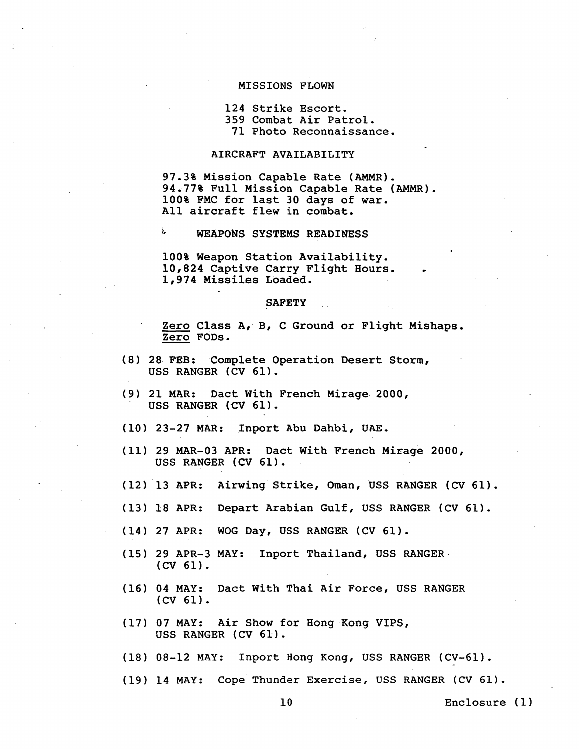#### **MISSIONS FLOWN**

#### **124 Strike Escort. 359 Combat Air Patrol. 71 Photo Reconnaissance.**

#### **AIRCRAFT AVAILABILITY**

**97.3% Mission Capable Rate (AMMR). 94.77% Full Mission Capable Rate (AMMR). 100% FMC for last 30 days of war. All aircraft flew in combat.** 

**i, WEAPONS SYSTEMS READINESS** 

**100% Weapon Station Availability. 10,824 Captive Carry Flight Hours.** . **1,974 Missiles Loaded.**  10,824 Capt<br>1,974 Missi<br><u>Zero</u> Class<br><u>Zero</u> FODs.<br>FEB: Comp

#### **SAFETY**

**Zero Class A, B, C Ground or Flight Mishaps.** 

- **(8) 28 FEB: Complete Operation Desert Storm, USS RANGER (CV 61).**
- **(9) 21 MAR: Dact With French Mirage 2000, USS RANGER (CV 61).**
- **(10) 23-27 MAR: Inport Abu Dahbi, UAE.**
- **(11) 29 MAR-03 APR: Dact With French Mirage 2000, USS RANGER (CV 61).**
- **(12) 13 APR: Airwing Strike, Oman, 'USS RANGER (CV 61).**
- **(13) 18 APR: Depart Arabian Gulf, USS RANGER (CV 61).**
- **(14) 27 APR: WOG Day, USS RANGER (CV 61).**
- **(15) 29 APR-3 MAY: Inport Thailand, USS RANGER (CV 61).**
- **(16) 04 MAY: Dact With Thai Air Force, USS RANGER (CV 61).**
- **(17) 07 MAY: Air Show for Hong Kong VIPs, USS RANGER (CV 61).**
- **(18) 08-12 MAY: Inport Hong Kong, USS RANGER (CV-61).**
- **(19) 14 MAY: Cope Thunder Exercise, USS RANGER (CV 61).**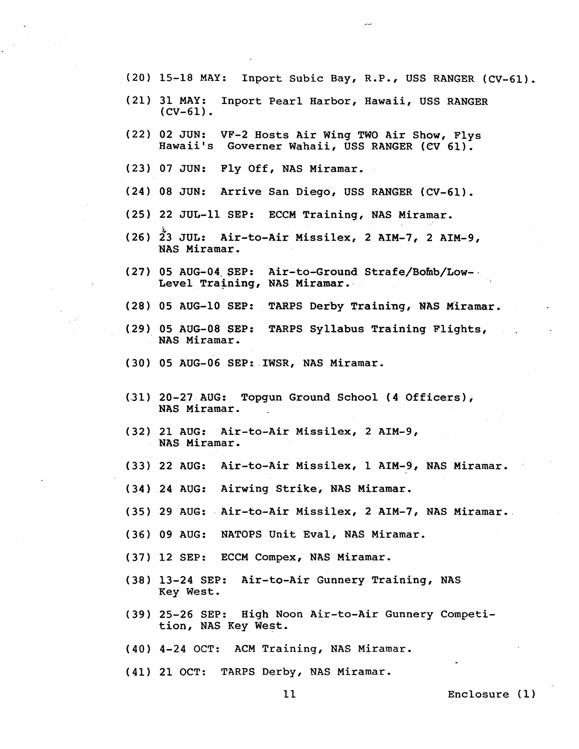- **(20) 15-18 MAY: Inport Subic Bay, R.P., USS RANGER (CV-61).**
- **(21) 31 MAY: Inport Pearl Harbor, Hawaii, USS RANGER (CV-61).**
- **(22) 02 JUN: VF-2 Hosts Air Wing TWO Air Show, Flys Hawaii's Governer Wahaii, USS RANGER (CV 61).**
- **(23) 07 JUN: Fly Off, NAS Miramar.**
- **(24) 08 JUN: Arrive San Diego, USS RANGER (CV-61).**
- **(25) 22 JUL-11 SEP: ECCM Training, NAS Miramar.**
- **(26) \$3 JUL: Air-to-Air Missilex, 2 AIM-7, 2 AIM-9, NAS Miramar.**
- **(27) 05 AUG-04. SEP: Air-to-Ground Strafe/Bofnb/Low-- Level Training, NAS Miramar.**
- **(28) 05 AUG-10 SEP: TARPS Derby Training, NAS M'iramar.**
- **(29) 05 AUG-08 SEP: TARPS Syllabus Training Flights, NAS Miramar.**
- **(30) 05 AUG-06 SEP:.IWSR, NAS Miramar.**
- **(.31) 20-27 AUG: Topgun Ground School (4- Officers), NAS Miramar.**
- **(32) 21 AUG: Air-to-Air Missilex, 2 AIM-9, NAS Miramar.**
- **(33) 22 AUG: Air-to-Air Missilex, 1 AIM-9, NAS Miramar.**
- **(34) 24 AUG: Airwing Strike, NAS Miramar.**
- **(35) 29 AUG: .Air-to-Air Missilex, 2 AIM-7, NAS Miramar..**
- **(36) 09 AUG: NATOPS Unit Eval, NAS Miramar.**
- **(37) 12 SEP: ECCM Compex, NAS Miramar.**
- **(38) 13-24 SEP: Air-to-Air Gunnery Training, NAS Key West.**
- **(39) 25-26 SEP: High Noon Air-to-Air Gunnery Competition, NAS Key West.**
- **(40) 4-24 OCT: ACM Training, NAS Miramar.**
- **(41) 21 OCT: TARPS Derby, NAS Mixamar.**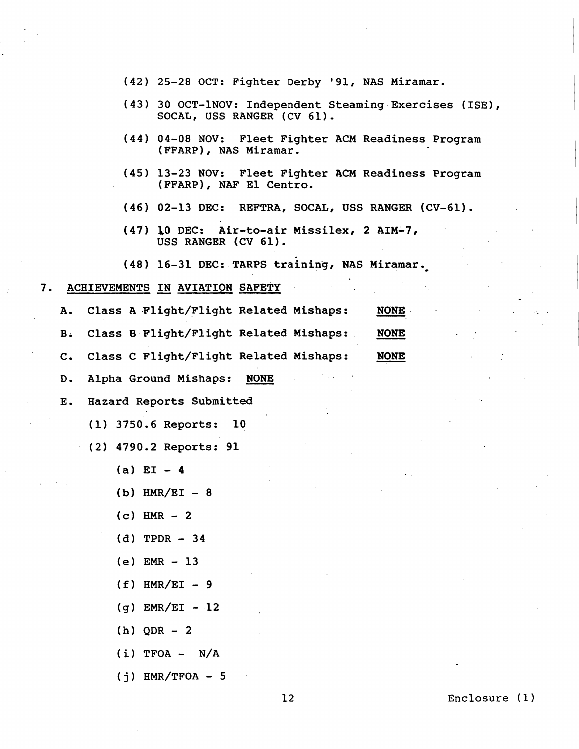- **(42) 25-28 OCT: Fighter Derby '91, NAS Miramar.**
- **(43) 30 OCT-1NOV: Independent Steaming Exercises (ISE), SOCAL, USS RANGER (CV 61).**
- **(44) 04-08 NOV: Fleet Fighter ACM Readiness Program (FFARP), NAS Miramar.**
- **(45) 13-23 NOV: Fleet Fighter ACM Readiness Program (FFARP), NAF El Centro.**
- **(46) 02-13 DEC: REFTRA, SOCAL, USS RANGER (CV-61).**
- **(47) &O DEC: Air-to-air Missilex, 2 AIM-7, USS RANGER (CV 61).**

#### **7. ACHIEVEMENTS** IN **AVIATION SAFETY** -

**(j) HMR/TFOA** - **<sup>5</sup>**

| (48) 16-31 DEC: TARPS training, NAS Miramar. |                                                       |  |  |  |  |  |
|----------------------------------------------|-------------------------------------------------------|--|--|--|--|--|
| ACHIEVEMENTS IN AVIATION SAFETY              |                                                       |  |  |  |  |  |
| Α.                                           | Class A Flight/Flight Related Mishaps:<br><b>NONE</b> |  |  |  |  |  |
| $B \cdot$                                    | Class B Flight/Flight Related Mishaps:<br><b>NONE</b> |  |  |  |  |  |
| c.                                           | Class C Flight/Flight Related Mishaps:<br><b>NONE</b> |  |  |  |  |  |
| D.                                           | Alpha Ground Mishaps:<br><b>NONE</b>                  |  |  |  |  |  |
| $E$ .                                        | Hazard Reports Submitted                              |  |  |  |  |  |
|                                              | (1) 3750.6 Reports:<br>10                             |  |  |  |  |  |
|                                              | (2) 4790.2 Reports: 91                                |  |  |  |  |  |
|                                              | $(a)$ EI - 4                                          |  |  |  |  |  |
|                                              | $(b)$ HMR/EI - 8                                      |  |  |  |  |  |
|                                              | $(c)$ HMR $-2$                                        |  |  |  |  |  |
|                                              | $(d)$ TPDR $-34$                                      |  |  |  |  |  |
|                                              | $(e)$ EMR $-13$                                       |  |  |  |  |  |
|                                              | $(f)$ HMR/EI - 9                                      |  |  |  |  |  |
|                                              | $(g)$ EMR/EI - 12                                     |  |  |  |  |  |
|                                              | $(h)$ QDR $-2$                                        |  |  |  |  |  |
|                                              | $(i)$ TFOA - N/A                                      |  |  |  |  |  |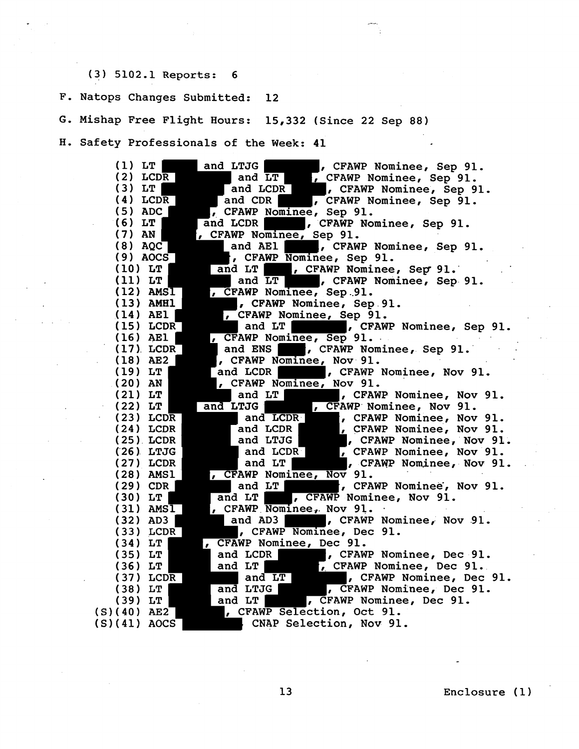# **(3) 5102.1 Reports: 6**

**F. Natops Changes Submitted: 12** 

**G. Mishap Free Flight Hours: 15,332 (Since 22 Sep 88)** 

**H. Safety Professionals of the Week: 41** 

| $(1)$ LT                                |                                                                                                                       |
|-----------------------------------------|-----------------------------------------------------------------------------------------------------------------------|
| $(2)$ LCDR                              | and LTJG and LT 1. CFAWP Nominee, Sep 91.<br>and LT 1. CFAWP Nominee, Sep 91.<br>and LCDR 1. CFAWP Nominee, Sep 91.   |
| $(3)$ LT                                |                                                                                                                       |
| $(4)$ LCDR                              | and CDR For FORMP Nominee, Sep 91.                                                                                    |
| $(5)$ ADC                               | , CFAWP Nominee, Sep 91.                                                                                              |
| $(6)$ LT                                | and LCDR<br>, CFAWP Nominee, Sep 91.                                                                                  |
| $(7)$ AN                                | , CFAWP Nominee, Sep 91.                                                                                              |
| $(8)$ AQC                               | and AE1 (CFAWP Nominee, Sep 91.                                                                                       |
| $(9)$ AOCS                              | , CFAWP Nominee, Sep 91.                                                                                              |
| $(10)$ LT                               | and LT   , CFAWP Nominee, Sep 91.                                                                                     |
| $(11)$ LT                               | and LT       CFAWP Nominee, Sep 91.                                                                                   |
| $(12)$ AMSI                             | , CFAWP Nominee, Sep.91.                                                                                              |
| $(13)$ AMHl                             | , CFAWP Nominee, Sep 91.                                                                                              |
| $(14)$ AE1                              | CFAWP Nominee, Sep 91.                                                                                                |
| $(15)$ LCDR                             | and LT   , CFAWP Nominee, Sep 91.                                                                                     |
| $(16)$ AE1                              | , CFAWP Nominee, Sep 91.                                                                                              |
| $(17)$ LCDR                             | , CFAWP Nominee, Sep 91.<br>and ENS                                                                                   |
| $(18)$ AE2                              | , CFAWP Nominee, Nov 91.                                                                                              |
| $(19)$ LT                               | and LCDR   , CFAWP Nominee, Nov 91.                                                                                   |
| $(20)$ AN $\vert$                       | , CFAWP Nominee, Nov 91.                                                                                              |
| $(21)$ LT                               | and LT               CFAWP Nominee, Nov 91.                                                                           |
| $(22)$ LT                               | nd LTJG (CFAWP Nominee, Nov 91.<br>and LCDR (CFAWP Nominee, Nov 91.<br>and LCDR (CFAWP Nominee, Nov 91.<br>and $LTCG$ |
| $(23)$ LCDR                             |                                                                                                                       |
| $(24)$ LCDR                             | , CFAWP Nominee, Nov 91.                                                                                              |
| $(25)$ LCDR                             | and LTJG         CFAWP Nominee, Nov 91.                                                                               |
| $(26)$ LTJG                             |                                                                                                                       |
| $(27)$ LCDR                             |                                                                                                                       |
| $(28)$ AMS1                             | and LCDR (CFAWP Nominee, Nov 91.<br>, CFAWP Nominee, Nov 91.<br>, CFAWP Nominee, Nov 91.                              |
| $(29)$ CDR $ $                          | and LT Fame , CFAWP Nominee, Nov 91.                                                                                  |
| $(30)$ LT                               | and LT   , CFAWP Nominee, Nov 91.                                                                                     |
| $(31)$ AMS $\overline{1}$               | , CFAWP Nominee, Nov 91.                                                                                              |
| $(32)$ AD3                              | and AD3         CFAWP Nominee, Nov 91.                                                                                |
| $(33)$ LCDR                             | , CFAWP Nominee, Dec 91.                                                                                              |
| $(34)$ LT                               | , CFAWP Nominee, Dec 91.                                                                                              |
| $(35)$ LT                               | and LCDR   FRAWP Nominee, Dec 91.                                                                                     |
| $(36)$ LT                               |                                                                                                                       |
| $(37)$ LCDR                             | and LT (CFAWP Nominee, boot of 91.                                                                                    |
| $(38)$ LT                               |                                                                                                                       |
| $(39)$ LT                               | and LT<br>, CFAWP Nominee, Dec 91.                                                                                    |
| (S)(40) AE2 <sup>---</sup>              | , CFAWP Selection, Oct 91.                                                                                            |
| $(S)(41)$ AOCS $\overline{\phantom{a}}$ | CNAP Selection, Nov 91.                                                                                               |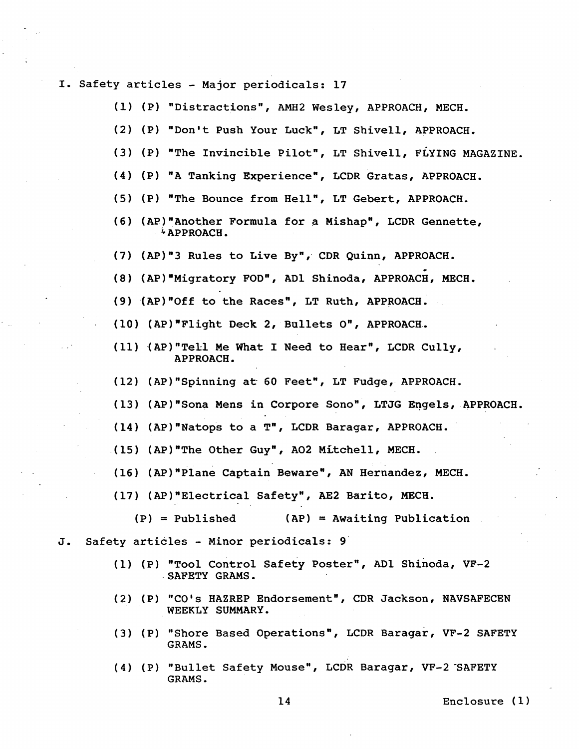**I. Safety articles** - **Major periodicals: 17** 

- **(1) (PI nDistractions", AMH2 Wesley, APPROACH, MECH.**
- **(2) (P) "Don't Push Your Luckw, LT Shivell, APPROACH.**
- **(3) (P) "The Invincible Pilot", LT Shivell, FLYING MAGAZINE.**
- **(4) (P) "A Tanking Experience", LCDR Gratas, APPROACH.**
- (5) (P) "The Bounce from Hell", LT Gebert, APPROACH.
- **(6) (AP)"Another Formula for a Mishap", LCDR Gennette, APPROACH.**
- **(7) (APIn3 Rules to Live Byn, CDR Quinn, APPROACH.**
- (8) (AP) "Migratory FOD", AD1 Shinoda, APPROACH, MECH.
- **(9) (AP)"Off to the Racesn, LT Ruth, APPROACH.**
- **(10) (AP)"Flight Deck 2, Bullets On, APPROACH-**
- **(11) (AP)"Tel.l Me What I Need to Hear", LCDR Cully, APPROACH.**
- **(12) (APInSpinning at 60 Feetm, LT Fudge, APPROACH.**
- **(13) (AP)"Sona Mens in Corpore Sonon, LTJG Engels, APPROACH.**
- **(14) (AP)"Natops to a T", LCDR Baragar, APPROACB.**
- **(15) (AP)"The Other Guyn, A02 Mikchell, MECH.**
- **(16) (APInPlane Captain Beware", AN Hernandez, MECH.**
- **(17) (AP)"Electrical Safety", AE2 Barito, MECB.** 
	- **(PI** = **Published (AP)** = **Awaiting Publication**
- **J, Safety articles Minor periodicals: 9** 
	- (1) (P) "Tool Control Safety Poster", AD1 Shinoda, VF-2 . **SAFETY GRAMS** -
	- **(2) (P) "CO's HAZREP Endorsement", CDR Jackson, NAVSAFECEN WEEKLY SUMMARY.**
	- **(3) (PI "Shore Based Operationsn, LCDR Baragar, VF-2 SAFETY GRAMS.**
	- **(4) (P) "Bullet Safety Mousen, LCDR Baragar, VF-2-SAFETY GRAMS.**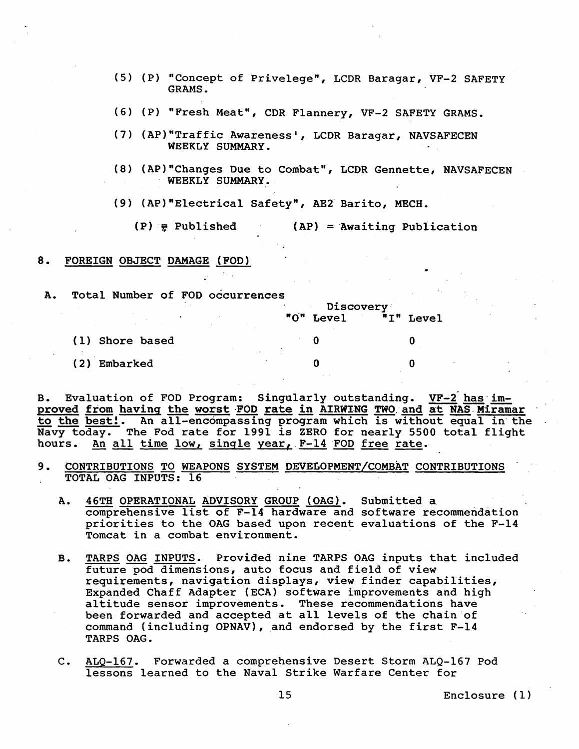- (5) (P) "Concept of Privelege", LCDR Baragar, VF-2 SAFETY **GRAMS.**
- (6) (PI "Fresh Meat", CDR Flannery, VF-2 SAFETY GRAMS.
- **(7)** (AP)"Traffic Awareness', LCDR Baragar, NAVSAFECEN WEEKLY SUMMARY.
- **(8)** (AP)"Changes Due to Combat", LCDR Gennette, NAVSAFECEN WEEKLY SUMMARY.

 $D: \mathbb{R}$ 

(9) (AP) "Electrical Safety", AE2 Barito, MECH.

 $(P)$   $\overline{\tau}$  Published (AP) = Awaiting Publication

8. FOREIGN OBJECT DAMAGE (FOD)

**A.** Total Number of FOD occurrences

|                 | <b>DISCOVELY</b><br>"O" Level | "I" Level |
|-----------------|-------------------------------|-----------|
| (1) Shore based |                               |           |
| (2)<br>Embarked |                               |           |

(1) Shore based 0 0<br>
(2) Embarked 0 0<br>
B. Evaluation of FOD Program: Singularly outstanding. <u>VF-2 has im-</u><br>
<u>proved from having the worst FOD rate in AIRWING TWO and at NAS Miramar</u><br>
to the best!. An all-encompassing prog B. Evaluation of FOD Program: Singularly outstanding. <u>VF-2 has im-<br>proved from having the worst FOD rate in AIRWING TWO and at NAS Miramar<br>to the best!. An all-encompassing program which is without equal in the<br>hours. An </u> hours. An all time low, single year, F-14 FOD free rate.

- 9. CONTRIBUTIONS TO WEAPONS SYSTEM DEVELOPMENT/COMBAT CONTRIBUTIONS TOTAL OAG INPUTS: 16
	- comprehensive list of F-14 hardware and software recommendation priorities to the OAG based upon recent evaluations of the F-14 Tomcat in a combat environment.
	- B. TARPS OAG INPUTS. Provided nine TARPS OAG inputs that included future pod dimensions, auto focus and field of view requirements, navigation displays, view finder capabilities, Expanded Chaff Adapter (ECA) software improvements and high altitude sensor improvements. These recommendations have been forwarded and accepted at all levels of the chain of command (including OPNAV), and endorsed by the first F-14 TARPS OAG.
	- C. ALQ-167. Forwarded a comprehensive Desert Storm ALQ-167 Pod lessons learned to the Naval Strike Warfare Center for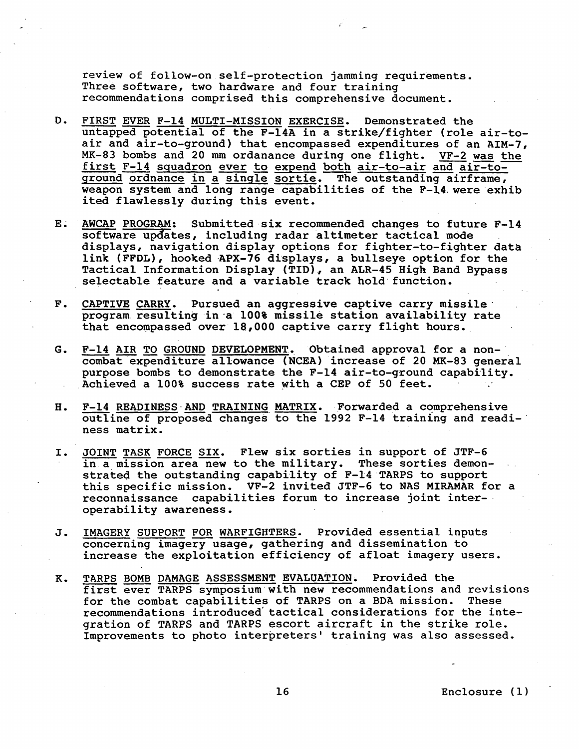review of follow-on self-protection jamming requirements. Three software, two hardware and four training recommendations comprised this comprehensive document. review of follow-on self-protection jamming requirements.<br>Three software, two hardware and four training<br>recommendations comprised this comprehensive document.<br>FIRST EVER F-14 MULTI-MISSION EXERCISE. Demonstrated the<br>untap

- $D$ . FIRST EVER F-14 MULTI-MISSION EXERCISE. Demonstrated the untapped potential of the F-14A in a strike/fighter (role air-to-air and air-to-ground) that encompassed expenditures of an AIM-7 MK-83 bombs and 20 mm ordanance du untapped potential of the F-14A in a strike/fighter (role air-toair and air-to-ground) that encompassed expenditures of an AIM-7, first F-14 squadron ever to expend both air-to-air and air-toground ordnance in a single sortie. The outstanding airframe, weapon system and long range capabilities of the F-14.were exhib ited flawlessly during this event.
- $E_{\star}$ AWCAP PROGRAM: Submitted six recommended changes to future F-14 software updates, including radar altimeter tactical mode displays, navigation display options for fighter-to-fighter data link (FFDL), hooked APX-76 displays, a bullseye option for the Tactical Information Display (TID), an ALR-45 High Band Bypass selectable feature and a variable track hold function.
- CAPTIVE CARRY. Pursued an aggressive captive carry missile.  $F<sub>o</sub>$ program. resulting in-a 100% missile station availability rate that encompassed over 18,000 captive carry flight hours.
- F-14 AIR TO GROUND DEVELOPMENT. Obtained approval for a non-G. combat expenditure allowance (NCEA) increase of 20 MK-83 general purpose bombs to demonstrate the F-14 air-to-ground capability. Achieved a 100% success rate with a CEP of 50 feet.
- F-14 READINESS AND TRAINING MATRIX. Forwarded a comprehensive **H.** outline of proposed changes to the 1992 F-14 training and readiness matrix.
- JOINT TASK FORCE SIX. Flew six sorties in support of JTF-6 I. in a mission area new to the military. These sorties demonstrated the outstanding capability of F-14 TARPS to support strated the outstanding capability of F-14 TARPS to support<br>this specific mission. VF-2 invited JTF-6 to NAS MIRAMAR for<br>reconnaissance capabilities forum to increase joint inter-<br>operability awareness.<br><u>IMAGERY SUPPORT FO</u> this specific mission. VF-2 invited JTF-6 to NAS MIRAMAR for a reconnaissance capabilities forum to increase joint inter-. operability awareness.
- J. concerning imagery usage, gathering and dissemination to increase the exploitation efficiency of afloat imagery users,
- **K.** TARPS BOMB DAMAGE ASSESSMENT EVALUATION. Provided the first ever TARPS symposium with new recommendations and revisions<br>for the combat capabilities of TARPS on a BDA mission. These for the combat capabilities of TARPS on a BDA mission. recommendations introduced tactical considerations for the integration of TARPS and TARPS escort aircraft in the strike role. Improvements to photo interpreters' training was also assessed.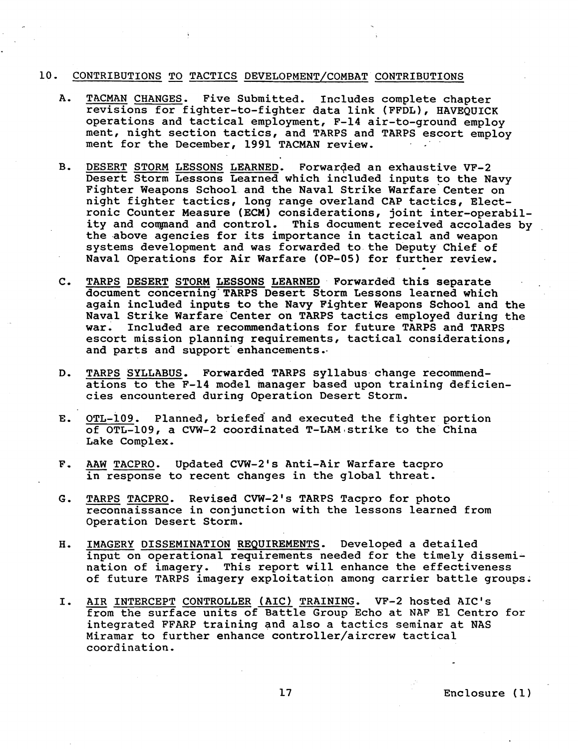#### 10. CONTRIBUTIONS TO TACTICS DEVELOPMENT/COMBAT CONTRIBUTIONS

- A. TACMAN CHANGES. Five Submitted, Includes complete chapter revisions for fighter-to-fighter data link (FFDL), HAVEQUICK operations and tactical employment, F-14 air-to-ground employ ment, night section tactics, and TARPS and TARPS escort employ ment for the December, 1991 TACMAN review,
- B. DESERT STORM LESSONS LEARNED. Forwarded an exhaustive VF-2 Desert Storm Lessons Learned which included inputs to the Navy Fighter Weapons School and the Naval Strike warfare'center on night fighter tactics, long range overland CAP tactics, Electronic Counter Measure (ECM) considerations, joint inter-operability and command and control. This document received accolades by the above agencies for its importance in tactical and weapon systems development and was forwarded to the Deputy Chief of Naval Operations for Air Warfare (OP-05) for further review, .
- C, TARPS DESERT STORM LESSONS LEARNED Forwarded this separate document concerning'TARPS Desert Storm Lessons learned which again included inputs to the Navy Fighter Weapons School and the Naval Strike Warfare Center on TARPS tactics employed during the war. Included are recommendations for future TARPS and TARPS escort mission planning requirements, tactical considerations, and parts and support enhancements..
- D. TARPS SYLLABUS. Forwarded TARPS syllabus change recommendations to the F-14 model manager based upon training deficien-<br>cies encountered during Operation Desert Storm.
- E. <u>OTL-109</u>. Planned, briefed and executed the fighter portion of OTL-109, a CVW-2 coordinated T-LAM~strike to the China Lake Complex. E. <u>OTL-109</u>. Planned, briefed and executed the fighter position of OTL-109, a CVW-2 coordinated T-LAM strike to the CM<br>Lake Complex.<br>F. <u>AAW TACPRO</u>. Updated CVW-2's Anti-Air Warfare tacpro<br>in response to recent changes i
- in response to recent changes in the global threat.
- G. TARPS TACPRO. Revised CVW-2's TARPS Tacpro for photo reconnaissance in conjunction with the lessons learned from Operation Desert Storm.
- H. IMAGERY DISSEMINATION REQUIREMENTS. Developed a detailed input on operational requirements needed for the timely dissemination of imagery. This report will enhance the effectiveness of future TARPS imagery exploitation among carrier battle groups. INGURSHIMATION REQUIREMENTS. Developed a decarted<br>
input on operational requirements needed for the timely disse<br>
of future TARPS imagery exploitation among carrier battle gro<br>
I. AIR INTERCEPT CONTROLLER (AIC) TRAINING. V
- from the surface units of Battle Group Echo at NAF El Centro for integrated FFARP training and also a tactics seminar at NAS Miramar to further enhance controller/aircrew tactical coordination.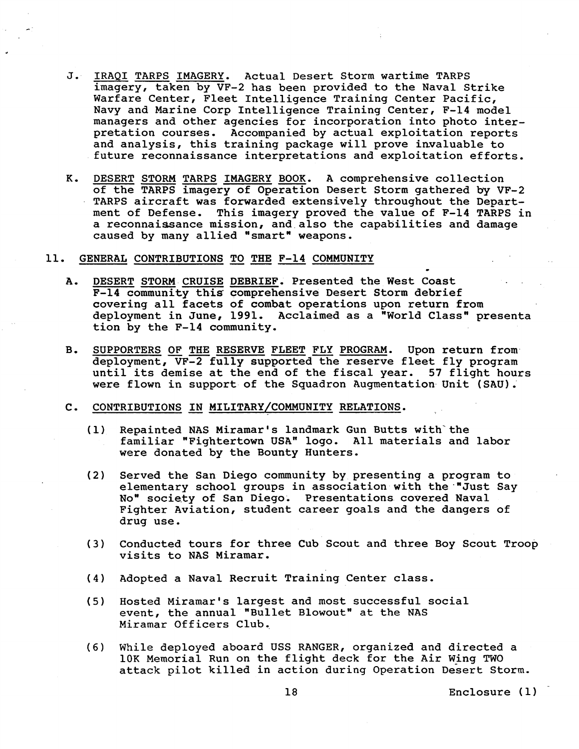- $J$ . IRAQI TARPS IMAGERY. Actual Desert Storm wartime TARPS imagery, taken by VF-2 has been provided to the Naval Strike Warfare Center, Fleet Intelligence Training Center Pacific, May and Marine Corp Intelligence Training Center Pacific,<br>
Navy and Marine Corp Intelligence Training Center, F-14 model<br>
managers and other agencies for incorporation into photo inter-<br>
pretation courses. Accompanied by a Navy and Marine Corp Intelligence Training Center, F-14 model managers and other agencies for incorporation into photo interpretation courses. Accompanied by actual exploitation reports and analysis, this training package will prove invaluable to future reconnaissance interpretations and exploitation efforts.
- TARPS aircraft was forwarded extensively throughout the Department of Defense. This imagery proved the value of F-14 TARPS in a reconnaissance mission, and also the capabilities and damage caused by many allied "smart" weapons.
- 
- 11. <u>GENERAL CONTRIBUTIONS TO THE F-14 COMMUNITY</u><br>A. DESERT STORM CRUISE DEBRIEF. Presented the West Coast F-14 community this comprehensive Desert Storm debrief covering all facets of combat operations upon return from deployment in June, 1991. Acclaimed as a "World Class" presenta tion by the F-14 community.
	- B. SUPPORTERS OF THE RESERVE FLEET FLY PROGRAM. Upon return fromdeployment, VF-2 fully supported the reserve fleet fly program until its demise at the end of the fiscal year. **57** flight hours were flown in support of the Squadron Augmentation Unit (SAU).
	- C. CONTRIBUTIONS IN MILITARY/COMMUNITY RELATIONS.
		- (1) Repainted NAS Miramar's landmark Gun Butts with the familiar "Fightertown USA" logo. All materials and labor were donated by the Bounty Hunters.
		- **(2)** Served the San Diego community by presenting a program to elementary school groups in association with the "Just Say No" society of San Diego. Presentations covered Naval Fighter Aviation, student career goals and the dangers of drug use.
		- (3) Conducted tours for three Cub Scout and three Boy Scout Troop visits to NAS Miramar.
		- (4) Adopted a Naval Recruit Training Center class.
		- **(5)** Hosted Miramar's largest and most successful social event, the annual "Bullet Blowout" at the NAS Miramar Officers Club.,
		- *(6)* While deployed aboard USS RANGER, organized and directed a 10K Memorial Run on the flight deck for the Air Wing TWO attack pilot killed in action during Operation Desert Storm.